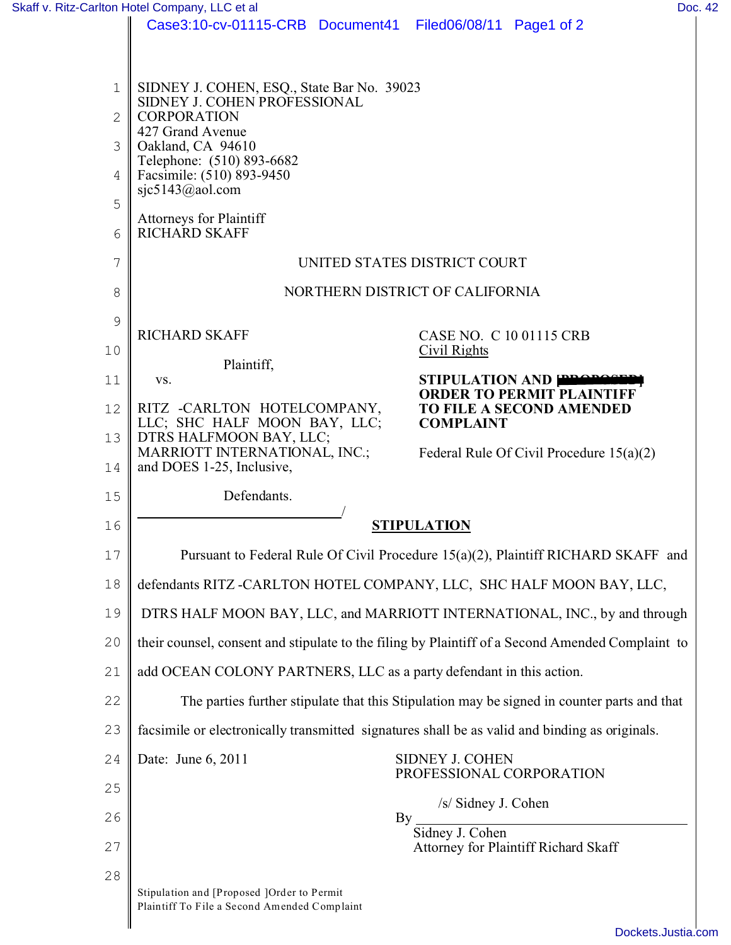|               | Skaff v. Ritz-Carlton Hotel Company, LLC et al                                                   | Doc. 42                                                            |
|---------------|--------------------------------------------------------------------------------------------------|--------------------------------------------------------------------|
|               | Case3:10-cv-01115-CRB Document41 Filed06/08/11 Page1 of 2                                        |                                                                    |
|               |                                                                                                  |                                                                    |
| $\mathbf 1$   | SIDNEY J. COHEN, ESQ., State Bar No. 39023                                                       |                                                                    |
| $\mathbf{2}$  | SIDNEY J. COHEN PROFESSIONAL<br><b>CORPORATION</b>                                               |                                                                    |
| 3             | 427 Grand Avenue<br>Oakland, CA 94610                                                            |                                                                    |
| 4             | Telephone: (510) 893-6682<br>Facsimile: (510) 893-9450                                           |                                                                    |
| 5             | sjc5143@aol.com                                                                                  |                                                                    |
| 6             | <b>Attorneys for Plaintiff</b><br><b>RICHARD SKAFF</b>                                           |                                                                    |
| 7             | UNITED STATES DISTRICT COURT                                                                     |                                                                    |
| 8             | NORTHERN DISTRICT OF CALIFORNIA                                                                  |                                                                    |
| $\mathcal{G}$ |                                                                                                  |                                                                    |
|               | <b>RICHARD SKAFF</b>                                                                             | CASE NO. C 10 01115 CRB                                            |
| 10            | Plaintiff,                                                                                       | Civil Rights                                                       |
| 11            | VS.                                                                                              | STIPULATION AND <b>PRODUCT</b><br><b>ORDER TO PERMIT PLAINTIFF</b> |
| 12            | RITZ -CARLTON HOTELCOMPANY,<br>LLC; SHC HALF MOON BAY, LLC;                                      | TO FILE A SECOND AMENDED<br><b>COMPLAINT</b>                       |
| 13            | DTRS HALFMOON BAY, LLC;<br>MARRIOTT INTERNATIONAL, INC.;                                         | Federal Rule Of Civil Procedure $15(a)(2)$                         |
| 14            | and DOES 1-25, Inclusive,                                                                        |                                                                    |
| 15            | Defendants.                                                                                      |                                                                    |
| 16            | <b>STIPULATION</b>                                                                               |                                                                    |
| 17            | Pursuant to Federal Rule Of Civil Procedure 15(a)(2), Plaintiff RICHARD SKAFF and                |                                                                    |
| 18            | defendants RITZ -CARLTON HOTEL COMPANY, LLC, SHC HALF MOON BAY, LLC,                             |                                                                    |
| 19            | DTRS HALF MOON BAY, LLC, and MARRIOTT INTERNATIONAL, INC., by and through                        |                                                                    |
| 20            | their counsel, consent and stipulate to the filing by Plaintiff of a Second Amended Complaint to |                                                                    |
| 21            | add OCEAN COLONY PARTNERS, LLC as a party defendant in this action.                              |                                                                    |
| 22            | The parties further stipulate that this Stipulation may be signed in counter parts and that      |                                                                    |
| 23            | facsimile or electronically transmitted signatures shall be as valid and binding as originals.   |                                                                    |
| 24            | Date: June 6, 2011                                                                               | <b>SIDNEY J. COHEN</b><br>PROFESSIONAL CORPORATION                 |
| 25            |                                                                                                  | /s/ Sidney J. Cohen                                                |
| 26            |                                                                                                  | By<br>Sidney J. Cohen                                              |
| 27            |                                                                                                  | Attorney for Plaintiff Richard Skaff                               |
| 28            |                                                                                                  |                                                                    |
|               | Stipulation and [Proposed ]Order to Permit<br>Plaintiff To File a Second Amended Complaint       |                                                                    |
|               |                                                                                                  |                                                                    |